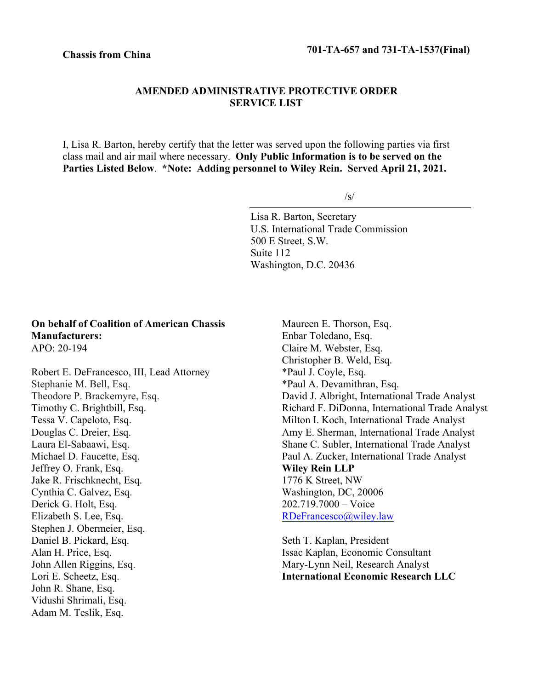## **AMENDED ADMINISTRATIVE PROTECTIVE ORDER SERVICE LIST**

I, Lisa R. Barton, hereby certify that the letter was served upon the following parties via first class mail and air mail where necessary. **Only Public Information is to be served on the Parties Listed Below**. **\*Note: Adding personnel to Wiley Rein. Served April 21, 2021.**

/s/

Lisa R. Barton, Secretary U.S. International Trade Commission 500 E Street, S.W. Suite 112 Washington, D.C. 20436

## **On behalf of Coalition of American Chassis Manufacturers:** APO: 20-194

Robert E. DeFrancesco, III, Lead Attorney Stephanie M. Bell, Esq. Theodore P. Brackemyre, Esq. Timothy C. Brightbill, Esq. Tessa V. Capeloto, Esq. Douglas C. Dreier, Esq. Laura El‐Sabaawi, Esq. Michael D. Faucette, Esq. Jeffrey O. Frank, Esq. Jake R. Frischknecht, Esq. Cynthia C. Galvez, Esq. Derick G. Holt, Esq. Elizabeth S. Lee, Esq. Stephen J. Obermeier, Esq. Daniel B. Pickard, Esq. Alan H. Price, Esq. John Allen Riggins, Esq. Lori E. Scheetz, Esq. John R. Shane, Esq. Vidushi Shrimali, Esq. Adam M. Teslik, Esq.

Maureen E. Thorson, Esq. Enbar Toledano, Esq. Claire M. Webster, Esq. Christopher B. Weld, Esq. \*Paul J. Coyle, Esq. \*Paul A. Devamithran, Esq. David J. Albright, International Trade Analyst Richard F. DiDonna, International Trade Analyst Milton I. Koch, International Trade Analyst Amy E. Sherman, International Trade Analyst Shane C. Subler, International Trade Analyst Paul A. Zucker, International Trade Analyst **Wiley Rein LLP** 1776 K Street, NW Washington, DC, 20006 202.719.7000 – Voice [RDeFrancesco@wiley.law](mailto:RDeFrancesco@wiley.law)

Seth T. Kaplan, President Issac Kaplan, Economic Consultant Mary-Lynn Neil, Research Analyst **International Economic Research LLC**